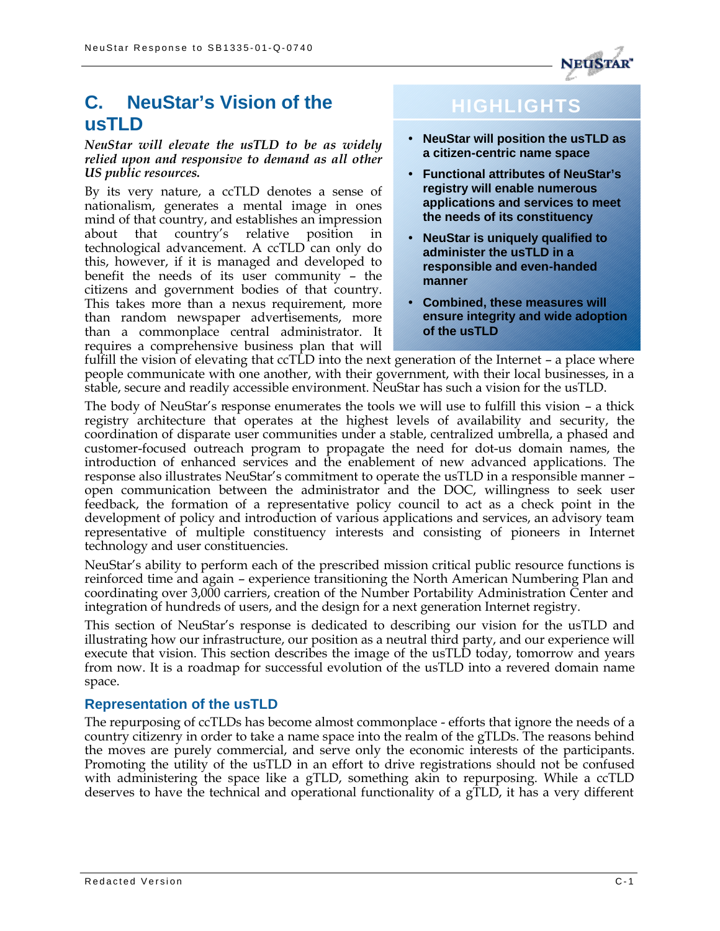

## **C. NeuStar's Vision of the usTLD**

#### *NeuStar will elevate the usTLD to be as widely relied upon and responsive to demand as all other US public resources.*

By its very nature, a ccTLD denotes a sense of nationalism, generates a mental image in ones mind of that country, and establishes an impression about that country's relative position in technological advancement. A ccTLD can only do this, however, if it is managed and developed to benefit the needs of its user community – the citizens and government bodies of that country. This takes more than a nexus requirement, more than random newspaper advertisements, more than a commonplace central administrator. It requires a comprehensive business plan that will

# **HIGHLIGHTS**

- **NeuStar will position the usTLD as a citizen-centric name space**
- **Functional attributes of NeuStar's registry will enable numerous applications and services to meet the needs of its constituency**
- **NeuStar is uniquely qualified to administer the usTLD in a responsible and even-handed manner**
- **Combined, these measures will ensure integrity and wide adoption of the usTLD**

fulfill the vision of elevating that ccTLD into the next generation of the Internet – a place where people communicate with one another, with their government, with their local businesses, in a stable, secure and readily accessible environment. NeuStar has such a vision for the usTLD.

The body of NeuStar's response enumerates the tools we will use to fulfill this vision – a thick registry architecture that operates at the highest levels of availability and security, the coordination of disparate user communities under a stable, centralized umbrella, a phased and customer-focused outreach program to propagate the need for dot-us domain names, the introduction of enhanced services and the enablement of new advanced applications. The response also illustrates NeuStar's commitment to operate the usTLD in a responsible manner – open communication between the administrator and the DOC, willingness to seek user feedback, the formation of a representative policy council to act as a check point in the development of policy and introduction of various applications and services, an advisory team representative of multiple constituency interests and consisting of pioneers in Internet technology and user constituencies.

NeuStar's ability to perform each of the prescribed mission critical public resource functions is reinforced time and again – experience transitioning the North American Numbering Plan and coordinating over 3,000 carriers, creation of the Number Portability Administration Center and integration of hundreds of users, and the design for a next generation Internet registry.

This section of NeuStar's response is dedicated to describing our vision for the usTLD and illustrating how our infrastructure, our position as a neutral third party, and our experience will execute that vision. This section describes the image of the usTLD today, tomorrow and years from now. It is a roadmap for successful evolution of the usTLD into a revered domain name space.

## **Representation of the usTLD**

The repurposing of ccTLDs has become almost commonplace - efforts that ignore the needs of a country citizenry in order to take a name space into the realm of the gTLDs. The reasons behind the moves are purely commercial, and serve only the economic interests of the participants. Promoting the utility of the usTLD in an effort to drive registrations should not be confused with administering the space like a gTLD, something akin to repurposing. While a ccTLD deserves to have the technical and operational functionality of a gTLD, it has a very different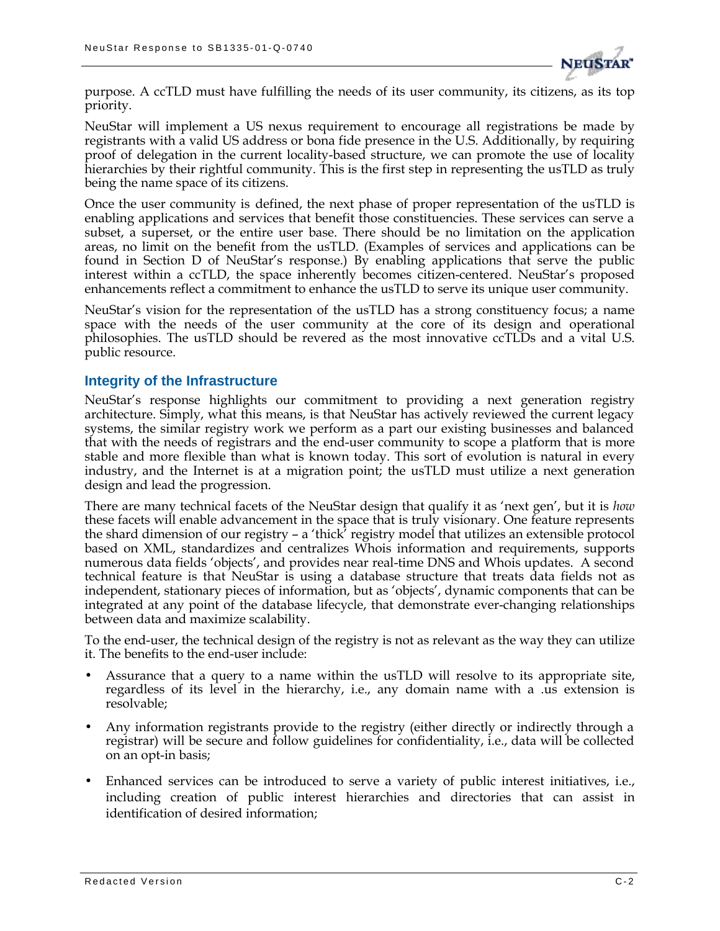

purpose. A ccTLD must have fulfilling the needs of its user community, its citizens, as its top priority.

NeuStar will implement a US nexus requirement to encourage all registrations be made by registrants with a valid US address or bona fide presence in the U.S. Additionally, by requiring proof of delegation in the current locality-based structure, we can promote the use of locality hierarchies by their rightful community. This is the first step in representing the usTLD as truly being the name space of its citizens.

Once the user community is defined, the next phase of proper representation of the usTLD is enabling applications and services that benefit those constituencies. These services can serve a subset, a superset, or the entire user base. There should be no limitation on the application areas, no limit on the benefit from the usTLD. (Examples of services and applications can be found in Section D of NeuStar's response.) By enabling applications that serve the public interest within a ccTLD, the space inherently becomes citizen-centered. NeuStar's proposed enhancements reflect a commitment to enhance the usTLD to serve its unique user community.

NeuStar's vision for the representation of the usTLD has a strong constituency focus; a name space with the needs of the user community at the core of its design and operational philosophies. The usTLD should be revered as the most innovative ccTLDs and a vital U.S. public resource.

#### **Integrity of the Infrastructure**

NeuStar's response highlights our commitment to providing a next generation registry architecture. Simply, what this means, is that NeuStar has actively reviewed the current legacy systems, the similar registry work we perform as a part our existing businesses and balanced that with the needs of registrars and the end-user community to scope a platform that is more stable and more flexible than what is known today. This sort of evolution is natural in every industry, and the Internet is at a migration point; the usTLD must utilize a next generation design and lead the progression.

There are many technical facets of the NeuStar design that qualify it as 'next gen', but it is *how* these facets will enable advancement in the space that is truly visionary. One feature represents the shard dimension of our registry – a 'thick' registry model that utilizes an extensible protocol based on XML, standardizes and centralizes Whois information and requirements, supports numerous data fields 'objects', and provides near real-time DNS and Whois updates. A second technical feature is that NeuStar is using a database structure that treats data fields not as independent, stationary pieces of information, but as 'objects', dynamic components that can be integrated at any point of the database lifecycle, that demonstrate ever-changing relationships between data and maximize scalability.

To the end-user, the technical design of the registry is not as relevant as the way they can utilize it. The benefits to the end-user include:

- Assurance that a query to a name within the usTLD will resolve to its appropriate site, regardless of its level in the hierarchy, i.e., any domain name with a .us extension is resolvable;
- Any information registrants provide to the registry (either directly or indirectly through a registrar) will be secure and follow guidelines for confidentiality, i.e., data will be collected on an opt-in basis;
- Enhanced services can be introduced to serve a variety of public interest initiatives, i.e., including creation of public interest hierarchies and directories that can assist in identification of desired information;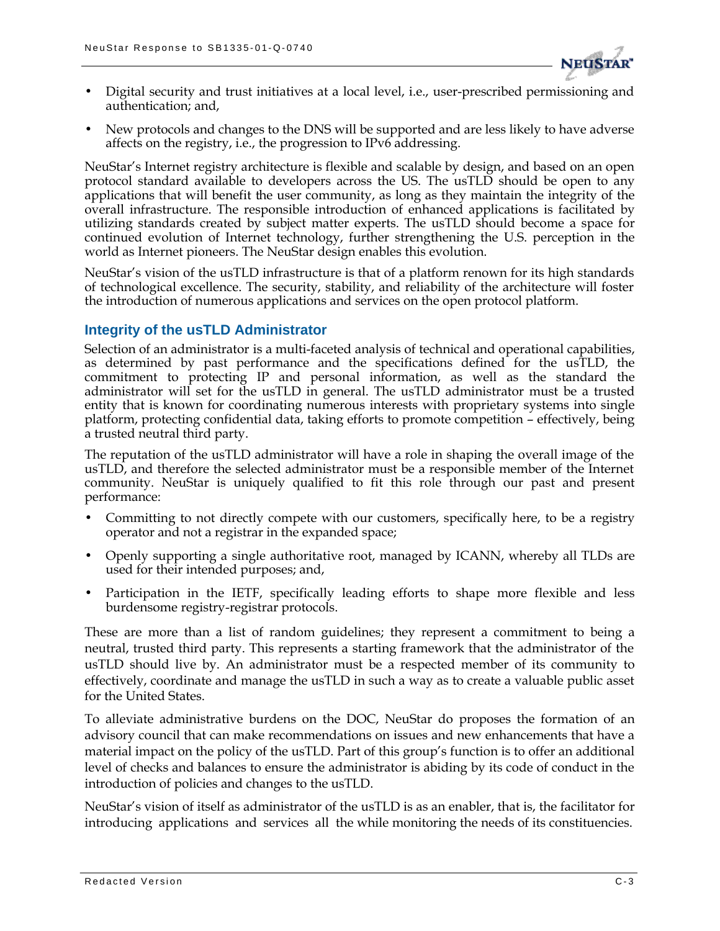

- Digital security and trust initiatives at a local level, i.e., user-prescribed permissioning and authentication; and,
- New protocols and changes to the DNS will be supported and are less likely to have adverse affects on the registry, i.e., the progression to IPv6 addressing.

NeuStar's Internet registry architecture is flexible and scalable by design, and based on an open protocol standard available to developers across the US. The usTLD should be open to any applications that will benefit the user community, as long as they maintain the integrity of the overall infrastructure. The responsible introduction of enhanced applications is facilitated by utilizing standards created by subject matter experts. The usTLD should become a space for continued evolution of Internet technology, further strengthening the U.S. perception in the world as Internet pioneers. The NeuStar design enables this evolution.

NeuStar's vision of the usTLD infrastructure is that of a platform renown for its high standards of technological excellence. The security, stability, and reliability of the architecture will foster the introduction of numerous applications and services on the open protocol platform.

### **Integrity of the usTLD Administrator**

Selection of an administrator is a multi-faceted analysis of technical and operational capabilities, as determined by past performance and the specifications defined for the usTLD, the commitment to protecting IP and personal information, as well as the standard the administrator will set for the usTLD in general. The usTLD administrator must be a trusted entity that is known for coordinating numerous interests with proprietary systems into single platform, protecting confidential data, taking efforts to promote competition – effectively, being a trusted neutral third party.

The reputation of the usTLD administrator will have a role in shaping the overall image of the usTLD, and therefore the selected administrator must be a responsible member of the Internet community. NeuStar is uniquely qualified to fit this role through our past and present performance:

- Committing to not directly compete with our customers, specifically here, to be a registry operator and not a registrar in the expanded space;
- Openly supporting a single authoritative root, managed by ICANN, whereby all TLDs are used for their intended purposes; and,
- Participation in the IETF, specifically leading efforts to shape more flexible and less burdensome registry-registrar protocols.

These are more than a list of random guidelines; they represent a commitment to being a neutral, trusted third party. This represents a starting framework that the administrator of the usTLD should live by. An administrator must be a respected member of its community to effectively, coordinate and manage the usTLD in such a way as to create a valuable public asset for the United States.

To alleviate administrative burdens on the DOC, NeuStar do proposes the formation of an advisory council that can make recommendations on issues and new enhancements that have a material impact on the policy of the usTLD. Part of this group's function is to offer an additional level of checks and balances to ensure the administrator is abiding by its code of conduct in the introduction of policies and changes to the usTLD.

NeuStar's vision of itself as administrator of the usTLD is as an enabler, that is, the facilitator for introducing applications and services all the while monitoring the needs of its constituencies.